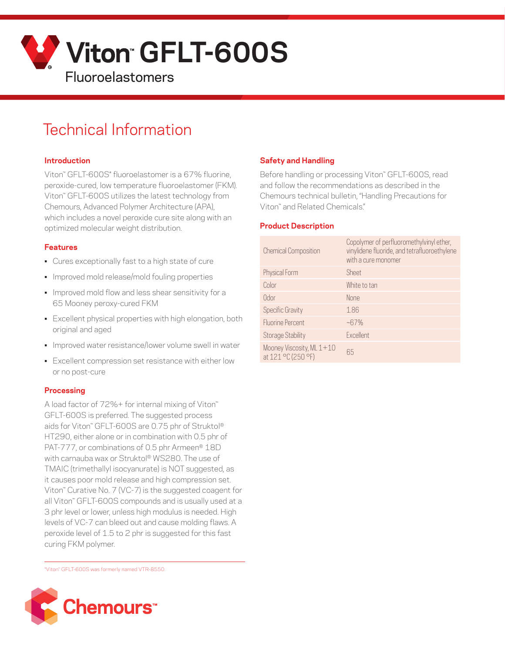

# Technical Information

### **Introduction**

Viton™ GFLT-600S\* fluoroelastomer is a 67% fluorine, peroxide-cured, low temperature fluoroelastomer (FKM). Viton™ GFLT-600S utilizes the latest technology from Chemours, Advanced Polymer Architecture (APA), which includes a novel peroxide cure site along with an optimized molecular weight distribution.

### **Features**

- Cures exceptionally fast to a high state of cure
- Improved mold release/mold fouling properties
- Improved mold flow and less shear sensitivity for a 65 Mooney peroxy-cured FKM
- Excellent physical properties with high elongation, both original and aged
- Improved water resistance/lower volume swell in water
- Excellent compression set resistance with either low or no post-cure

### **Processing**

A load factor of 72%+ for internal mixing of Viton™ GFLT-600S is preferred. The suggested process aids for Viton<sup>™</sup> GFLT-600S are 0.75 phr of Struktol® HT290, either alone or in combination with 0.5 phr of PAT-777, or combinations of 0.5 phr Armeen® 18D with carnauba wax or Struktol® WS280. The use of TMAIC (trimethallyl isocyanurate) is NOT suggested, as it causes poor mold release and high compression set. Viton™ Curative No. 7 (VC-7) is the suggested coagent for all Viton™ GFLT-600S compounds and is usually used at a 3 phr level or lower, unless high modulus is needed. High levels of VC-7 can bleed out and cause molding flaws. A peroxide level of 1.5 to 2 phr is suggested for this fast curing FKM polymer.

\*Viton™ GFLT-600S was formerly named VTR-8550.



# **Safety and Handling**

Before handling or processing Viton" GFLT-600S, read and follow the recommendations as described in the Chemours technical bulletin, "Handling Precautions for Viton™ and Related Chemicals."

### **Product Description**

| <b>Chemical Composition</b>                     | Copolymer of perfluoromethylvinyl ether,<br>vinylidene fluoride, and tetrafluoroethylene<br>with a cure monomer |
|-------------------------------------------------|-----------------------------------------------------------------------------------------------------------------|
| Physical Form                                   | Sheet                                                                                                           |
| Color                                           | White to tan                                                                                                    |
| 0dor                                            | <b>None</b>                                                                                                     |
| <b>Specific Gravity</b>                         | 1.86                                                                                                            |
| <b>Fluorine Percent</b>                         | $-67%$                                                                                                          |
| <b>Storage Stability</b>                        | Excellent                                                                                                       |
| Mooney Viscosity, ML 1+10<br>at 121 °C (250 °F) | 65                                                                                                              |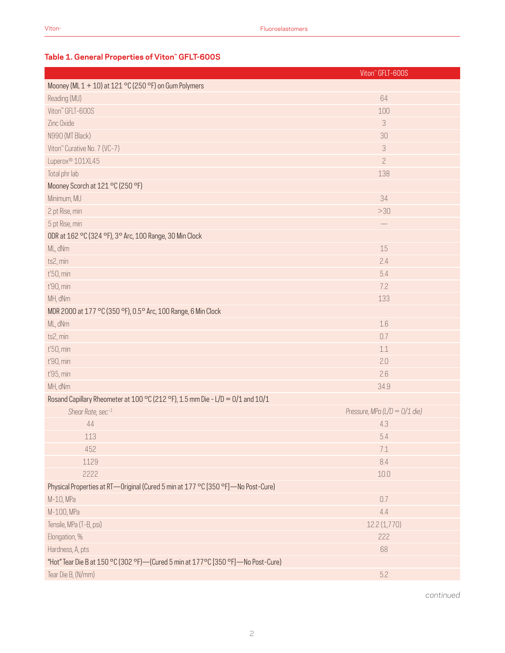# **Table 1. General Properties of Viton™ GFLT-600S**

|                                                                                    | Viton" GFLT-600S                |
|------------------------------------------------------------------------------------|---------------------------------|
| Mooney (ML 1 + 10) at 121 °C (250 °F) on Gum Polymers                              |                                 |
| Reading (MU)                                                                       | 64                              |
| Viton" GFLT-600S                                                                   | 100                             |
| Zinc Oxide                                                                         | 3                               |
| N990 (MT Black)                                                                    | 30                              |
| Viton" Curative No. 7 (VC-7)                                                       | 3                               |
| Luperox <sup>®</sup> 101XL45                                                       | $\overline{c}$                  |
| Total phr lab                                                                      | 138                             |
| Mooney Scorch at 121 °C (250 °F)                                                   |                                 |
| Minimum, MU                                                                        | 34                              |
| 2 pt Rise, min                                                                     | >30                             |
| 5 pt Rise, min                                                                     |                                 |
| ODR at 162 °C (324 °F), 3° Arc, 100 Range, 30 Min Clock                            |                                 |
| ML, dNm                                                                            | 15                              |
| ts2, min                                                                           | 2.4                             |
| t'50, min                                                                          | 5.4                             |
| t'90, min                                                                          | 7.2                             |
| MH, dNm                                                                            | 133                             |
| MDR 2000 at 177 °C (350 °F), 0.5° Arc, 100 Range, 6 Min Clock                      |                                 |
| ML, dNm                                                                            | 1.6                             |
| ts2, min                                                                           | 0.7                             |
| t'50, min                                                                          | 1.1                             |
| t'90, min                                                                          | 2.0                             |
| t'95, min                                                                          | 2.6                             |
| MH, dNm                                                                            | 34.9                            |
| Rosand Capillary Rheometer at 100 °C (212 °F), 1.5 mm Die - L/D = 0/1 and 10/1     |                                 |
| Shear Rate, sec-1                                                                  | Pressure, MPa (L/D = $0/1$ die) |
| 44                                                                                 | 4.3                             |
| 113                                                                                | 5.4                             |
| 452                                                                                | $7.1\,$                         |
| 1129                                                                               | 8.4                             |
| 2222                                                                               | $10.0\,$                        |
| Physical Properties at RT-Original (Cured 5 min at 177 °C [350 °F]-No Post-Cure)   |                                 |
| M-10, MPa                                                                          | 0.7                             |
| M-100, MPa                                                                         | 4.4                             |
| Tensile, MPa (T-B, psi)                                                            | 12.2 (1,770)                    |
| Elongation, %                                                                      | 222                             |
| Hardness, A, pts                                                                   | 68                              |
| "Hot" Tear Die B at 150 °C (302 °F)- (Cured 5 min at 177 °C [350 °F]-No Post-Cure) |                                 |
| Tear Die B, (N/mm)                                                                 | 5.2                             |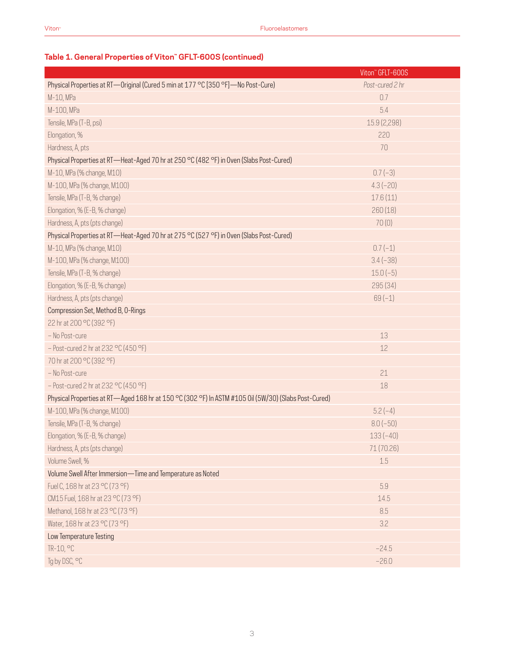# **Table 1. General Properties of Viton™ GFLT-600S (continued)**

|                                                                                                      | Viton" GFLT-600S |
|------------------------------------------------------------------------------------------------------|------------------|
| Physical Properties at RT—Original (Cured 5 min at 177 °C [350 °F]—No Post-Cure)                     | Post-cured 2 hr  |
| M-10, MPa                                                                                            | 0.7              |
| M-100, MPa                                                                                           | 5.4              |
| Tensile, MPa (T-B, psi)                                                                              | 15.9 (2,298)     |
| Elongation, %                                                                                        | 220              |
| Hardness, A, pts                                                                                     | 70               |
| Physical Properties at RT—Heat-Aged 70 hr at 250 °C (482 °F) in Oven (Slabs Post-Cured)              |                  |
| M-10, MPa (% change, M10)                                                                            | $0.7(-3)$        |
| M-100, MPa (% change, M100)                                                                          | $4.3(-20)$       |
| Tensile, MPa (T-B, % change)                                                                         | 17.6(11)         |
| Elongation, % (E-B, % change)                                                                        | 260(18)          |
| Hardness, A, pts (pts change)                                                                        | 70(0)            |
| Physical Properties at RT—Heat-Aged 70 hr at 275 °C (527 °F) in Oven (Slabs Post-Cured)              |                  |
| M-10, MPa (% change, M10)                                                                            | $0.7(-1)$        |
| M-100, MPa (% change, M100)                                                                          | $3.4(-38)$       |
| Tensile, MPa (T-B, % change)                                                                         | $15.0(-5)$       |
| Elongation, % (E-B, % change)                                                                        | 295 (34)         |
| Hardness, A, pts (pts change)                                                                        | $69(-1)$         |
| Compression Set, Method B, O-Rings                                                                   |                  |
| 22 hr at 200 °C (392 °F)                                                                             |                  |
| - No Post-cure                                                                                       | 13               |
| $-$ Post-cured 2 hr at 232 °C (450 °F)                                                               | 12               |
| 70 hr at 200 °C (392 °F)                                                                             |                  |
| - No Post-cure                                                                                       | 21               |
| $-$ Post-cured 2 hr at 232 °C (450 °F)                                                               | 18               |
| Physical Properties at RT-Aged 168 hr at 150 °C (302 °F) In ASTM #105 0il (5W/30) (Slabs Post-Cured) |                  |
| M-100, MPa (% change, M100)                                                                          | $5.2(-4)$        |
| Tensile, MPa (T-B, % change)                                                                         | $8.0(-50)$       |
| Elongation, % (E-B, % change)                                                                        | $133(-40)$       |
| Hardness, A, pts (pts change)                                                                        | 71 (70.26)       |
| Volume Swell, %                                                                                      | 1.5              |
| Volume Swell After Immersion-Time and Temperature as Noted                                           |                  |
| Fuel C, 168 hr at 23 °C (73 °F)                                                                      | 5.9              |
| CM15 Fuel, 168 hr at 23 °C (73 °F)                                                                   | 14.5             |
| Methanol, 168 hr at 23 °C (73 °F)                                                                    | 8.5              |
| Water, 168 hr at 23 °C (73 °F)                                                                       | 3.2              |
| Low Temperature Testing                                                                              |                  |
| TR-10, °C                                                                                            | $-24.5$          |
| Tg by DSC, °C                                                                                        | $-26.0$          |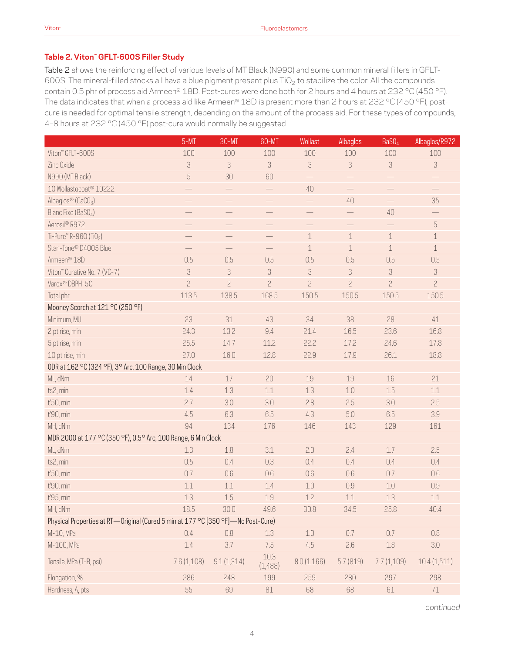# **Table 2. Viton™ GFLT-600S Filler Study**

Table 2 shows the reinforcing effect of various levels of MT Black (N990) and some common mineral fillers in GFLT-600S. The mineral-filled stocks all have a blue pigment present plus TiO<sub>2</sub> to stabilize the color. All the compounds contain 0.5 phr of process aid Armeen® 18D. Post-cures were done both for 2 hours and 4 hours at 232 °C (450 °F). The data indicates that when a process aid like Armeen® 18D is present more than 2 hours at 232 °C (450 °F), postcure is needed for optimal tensile strength, depending on the amount of the process aid. For these types of compounds, 4–8 hours at 232 °C (450 °F) post-cure would normally be suggested.

|                                                                                  | $5-MT$                   | 30-MT                    | 60-MT                    | Wollast                  | Albaglos                 | BaSO <sub>4</sub> | Albaglos/R972             |
|----------------------------------------------------------------------------------|--------------------------|--------------------------|--------------------------|--------------------------|--------------------------|-------------------|---------------------------|
| Viton" GFLT-600S                                                                 | 100                      | 100                      | 100                      | 100                      | 100                      | 100               | 100                       |
| Zinc Oxide                                                                       | 3                        | $\sqrt{3}$               | 3                        | 3                        | 3                        | $\sqrt{3}$        | $\sqrt{3}$                |
| N990 (MT Black)                                                                  | $\sqrt{5}$               | 30                       | 60                       | $\qquad \qquad -$        |                          |                   |                           |
| 10 Wollastocoat <sup>®</sup> 10222                                               |                          |                          |                          | 40                       |                          |                   |                           |
| Albaglos® (CaCO <sub>3</sub> )                                                   |                          |                          | $\overline{\phantom{0}}$ |                          | 40                       |                   | 35                        |
| Blanc Fixe (BaSO <sub>4</sub> )                                                  |                          |                          | $\overline{\phantom{0}}$ | $\overline{\phantom{0}}$ | $\overline{\phantom{0}}$ | 40                | $\overline{\phantom{0}}$  |
| Aerosil® R972                                                                    |                          |                          | $\overline{\phantom{0}}$ | $\overline{\phantom{0}}$ |                          |                   | $\mathbf 5$               |
| Ti-Pure <sup>™</sup> R-960 (Ti0 <sub>2</sub> )                                   | $\overline{\phantom{0}}$ | $\overline{\phantom{0}}$ |                          | $\mathbf 1$              | $\,1\,$                  | $\,1$             | $\,1$                     |
| Stan-Tone® D4005 Blue                                                            |                          |                          |                          | $\mathbf 1$              | $\mathbf 1$              | $\,1\,$           | $1\,$                     |
| Armeen <sup>®</sup> 18D                                                          | 0.5                      | 0.5                      | 0.5                      | 0.5                      | 0.5                      | 0.5               | 0.5                       |
| Viton" Curative No. 7 (VC-7)                                                     | 3                        | 3                        | 3                        | 3                        | 3                        | 3                 | $\ensuremath{\mathsf{3}}$ |
| Varox <sup>®</sup> DBPH-50                                                       | $\overline{c}$           | $\overline{c}$           | $\overline{c}$           | $\overline{c}$           | $\overline{c}$           | $\overline{c}$    | $\overline{c}$            |
| Total phr                                                                        | 113.5                    | 138.5                    | 168.5                    | 150.5                    | 150.5                    | 150.5             | 150.5                     |
| Mooney Scorch at 121 °C (250 °F)                                                 |                          |                          |                          |                          |                          |                   |                           |
| Minimum, MU                                                                      | 23                       | 31                       | 43                       | 34                       | 38                       | 28                | 41                        |
| 2 pt rise, min                                                                   | 24.3                     | 13.2                     | 9.4                      | 21.4                     | 16.5                     | 23.6              | 16.8                      |
| 5 pt rise, min                                                                   | 25.5                     | 14.7                     | 11.2                     | 22.2                     | 17.2                     | 24.6              | 17.8                      |
| 10 pt rise, min                                                                  | 27.0                     | 16.0                     | 12.8                     | 22.9                     | 17.9                     | 26.1              | 18.8                      |
| ODR at 162 °C (324 °F), 3° Arc, 100 Range, 30 Min Clock                          |                          |                          |                          |                          |                          |                   |                           |
| ML, dNm                                                                          | 14                       | 17                       | 20                       | 19                       | 19                       | 16                | 21                        |
| ts2, min                                                                         | $1.4\,$                  | 1.3                      | 1.1                      | 1.3                      | 1.0                      | 1.5               | 1.1                       |
| t'50, min                                                                        | 2.7                      | 3.0                      | 3.0                      | 2.8                      | 2.5                      | 3.0               | 2.5                       |
| t'90, min                                                                        | 4.5                      | 6.3                      | 6.5                      | 4.3                      | 5.0                      | 6.5               | 3.9                       |
| MH, dNm                                                                          | 94                       | 134                      | 176                      | 146                      | 143                      | 129               | 161                       |
| MDR 2000 at 177 °C (350 °F), 0.5° Arc, 100 Range, 6 Min Clock                    |                          |                          |                          |                          |                          |                   |                           |
| ML, dNm                                                                          | 1.3                      | 1.8                      | 3.1                      | 2.0                      | 2.4                      | 1.7               | 2.5                       |
| ts2, min                                                                         | 0.5                      | 0.4                      | 0.3                      | 0.4                      | 0.4                      | 0.4               | 0.4                       |
| t'50, min                                                                        | 0.7                      | 0.6                      | 0.6                      | 0.6                      | 0.6                      | 0.7               | 0.6                       |
| t'90, min                                                                        | 1.1                      | 1.1                      | 1.4                      | $1.0\,$                  | 0.9                      | 1.0               | 0.9                       |
| t'95, min                                                                        | 1.3                      | 1.5                      | $1.9\,$                  | 1.2                      | 1.1                      | 1.3               | 1.1                       |
| MH, dNm                                                                          | 18.5                     | 30.0                     | 49.6                     | 30.8                     | 34.5                     | 25.8              | 40.4                      |
| Physical Properties at RT-Original (Cured 5 min at 177 °C [350 °F]-No Post-Cure) |                          |                          |                          |                          |                          |                   |                           |
| M-10, MPa                                                                        | 0.4                      | 0.8                      | 1.3                      | $1.0\,$                  | 0.7                      | 0.7               | $0.8\,$                   |
| M-100, MPa                                                                       | 1.4                      | 3.7                      | 7.5                      | 4.5                      | 2.6                      | $1.8\,$           | 3.0                       |
| Tensile, MPa (T-B, psi)                                                          | 7.6 (1,108)              | 9.1(1,314)               | 10.3<br>(1,488)          | 8.0(1,166)               | 5.7(819)                 | 7.7(1,109)        | 10.4(1,511)               |
| Elongation, %                                                                    | 286                      | 248                      | 199                      | 259                      | 280                      | 297               | 298                       |
| Hardness, A, pts                                                                 | 55                       | 69                       | $81\,$                   | 68                       | 68                       | 61                | 71                        |

*continued*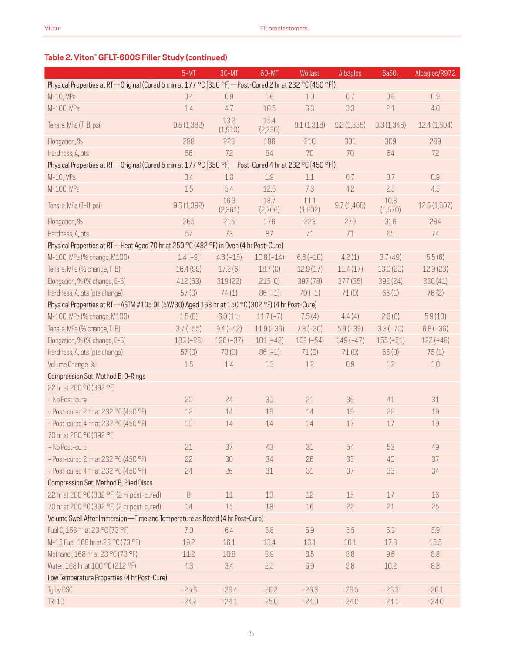# **Table 2. Viton™ GFLT-600S Filler Study (continued)**

|                                                                                                        | $5-MT$      | 30-MT            | 60-MT           | Wollast         | Albaglos   | BaSO <sub>4</sub> | Albaglos/R972 |
|--------------------------------------------------------------------------------------------------------|-------------|------------------|-----------------|-----------------|------------|-------------------|---------------|
| Physical Properties at RT-Original (Cured 5 min at 177 °C [350 °F]-Post-Cured 2 hr at 232 °C [450 °F]) |             |                  |                 |                 |            |                   |               |
| M-10, MPa                                                                                              | 0.4         | 0.9              | 1.6             | 1.0             | 0.7        | 0.6               | 0.9           |
| M-100, MPa                                                                                             | 1.4         | 4.7              | 10.5            | 6.3             | 3.3        | 2.1               | 4.0           |
| Tensile, MPa (T-B, psi)                                                                                | 9.5(1,382)  | 13.2<br>(1,910)  | 15.4<br>(2,230) | 9.1(1,318)      | 9.2(1,335) | 9.3(1,346)        | 12.4 (1,804)  |
| Elongation, %                                                                                          | 288         | 223              | 186             | 210             | 301        | 309               | 289           |
| Hardness, A, pts                                                                                       | 56          | 72               | 84              | 70              | 70         | 64                | 72            |
| Physical Properties at RT—Original (Cured 5 min at 177 °C [350 °F]—Post-Cured 4 hr at 232 °C [450 °F]) |             |                  |                 |                 |            |                   |               |
| M-10, MPa                                                                                              | 0.4         | 1.0              | 1.9             | 1.1             | 0.7        | 0.7               | 0.9           |
| M-100, MPa                                                                                             | 1.5         | 5.4              | 12.6            | 7.3             | 4.2        | 2.5               | 4.5           |
| Tensile, MPa (T-B, psi)                                                                                | 9.6 (1,392) | 16.3<br>(2, 361) | 18.7<br>(2,706) | 11.1<br>(1,602) | 9.7(1,408) | 10.8<br>(1, 570)  | 12.5(1,807)   |
| Elongation, %                                                                                          | 265         | 215              | 176             | 223             | 279        | 316               | 284           |
| Hardness, A, pts                                                                                       | 57          | 73               | 87              | 71              | 71         | 65                | 74            |
| Physical Properties at RT-Heat Aged 70 hr at 250 °C (482 °F) in Oven (4 hr Post-Cure)                  |             |                  |                 |                 |            |                   |               |
| M-100, MPa (% change, M100)                                                                            | $1.4(-9)$   | $4.6(-15)$       | $10.8(-14)$     | $6.6(-10)$      | 4.2(1)     | 3.7(49)           | 5.5(6)        |
| Tensile, MPa (% change, T-B)                                                                           | 16.4 (99)   | 17.2(6)          | 18.7(0)         | 12.9(17)        | 11.4(17)   | 13.0(20)          | 12.9(23)      |
| Elongation, % (% change, E-B)                                                                          | 412 (63)    | 319(22)          | 215(0)          | 397 (78)        | 377(35)    | 392 (24)          | 330(41)       |
| Hardness, A, pts (pts change)                                                                          | 57(0)       | 74(1)            | $86(-1)$        | $70(-1)$        | 71(0)      | 66(1)             | 76(2)         |
| Physical Properties at RT-ASTM #105 0il (5W/30) Aged 168 hr at 150 °C (302 °F) (4 hr Post-Cure)        |             |                  |                 |                 |            |                   |               |
| M-100, MPa (% change, M100)                                                                            | 1.5(0)      | 6.0(11)          | $11.7(-7)$      | 7.5(4)          | 4.4(4)     | 2.6(6)            | 5.9(13)       |
| Tensile, MPa (% change, T-B)                                                                           | $3.7(-55)$  | $9.4(-42)$       | $11.9(-36)$     | $7.8(-30)$      | $5.9(-39)$ | $3.3(-70)$        | $6.8(-36)$    |
| Elongation, % (% change, E-B)                                                                          | $183(-28)$  | $136(-37)$       | $101(-43)$      | $102(-54)$      | $149(-47)$ | $155(-51)$        | $122(-48)$    |
| Hardness, A, pts (pts change)                                                                          | 57(0)       | 73(0)            | $86(-1)$        | 71(0)           | 71(0)      | 65(0)             | 75(1)         |
| Volume Change, %                                                                                       | 1.5         | 1.4              | 1.3             | 1.2             | 0.9        | 1.2               | 1.0           |
| Compression Set, Method B, O-Rings                                                                     |             |                  |                 |                 |            |                   |               |
| 22 hr at 200 °C (392 °F)                                                                               |             |                  |                 |                 |            |                   |               |
| - No Post-cure                                                                                         | 20          | 24               | 30              | 21              | 36         | 41                | 31            |
| $-$ Post-cured 2 hr at 232 °C (450 °F)                                                                 | 12          | 14               | 16              | 14              | 19         | 26                | 19            |
| $-$ Post-cured 4 hr at 232 °C (450 °F)                                                                 | 10          | 14               | 14              | 14              | 17         | 17                | 19            |
| 70 hr at 200 °C (392 °F)                                                                               |             |                  |                 |                 |            |                   |               |
| - No Post-cure                                                                                         | 21          | 37               | 43              | 31              | 54         | 53                | 49            |
| $-$ Post-cured 2 hr at 232 °C (450 °F)                                                                 | 22          | 30               | 34              | 26              | 33         | 40                | 37            |
| $-$ Post-cured 4 hr at 232 °C (450 °F)                                                                 | 24          | 26               | 31              | 31              | 37         | 33                | 34            |
| Compression Set, Method B, Plied Discs                                                                 |             |                  |                 |                 |            |                   |               |
| 22 hr at 200 °C (392 °F) (2 hr post-cured)                                                             | 8           | 11               | 13              | 12              | 15         | 17                | 16            |
| 70 hr at 200 °C (392 °F) (2 hr post-cured)                                                             | $14\,$      | 15               | 18              | 16              | 22         | 21                | 25            |
| Volume Swell After Immersion-Time and Temperature as Noted (4 hr Post-Cure)                            |             |                  |                 |                 |            |                   |               |
| Fuel C, 168 hr at 23 °C (73 °F)                                                                        | 7.0         | 6.4              | 5.8             | 5.9             | 5.5        | 6.3               | 5.9           |
| M-15 Fuel. 168 hr at 23 °C (73 °F)                                                                     | 19.2        | 16.1             | 13.4            | 16.1            | 16.1       | 17.3              | 15.5          |
| Methanol, 168 hr at 23 °C (73 °F)                                                                      | 11.2        | 10.8             | 8.9             | 8.5             | 8.8        | 9.6               | 8.8           |
| Water, 168 hr at 100 °C (212 °F)                                                                       | 4.3         | 3.4              | 2.5             | 6.9             | 9.8        | 10.2              | 8.8           |
| Low Temperature Properties (4 hr Post-Cure)                                                            |             |                  |                 |                 |            |                   |               |
| Tg by DSC                                                                                              | $-25.6$     | $-26.4$          | $-26.2$         | $-26.3$         | $-26.5$    | $-26.3$           | $-26.1$       |
| $TR-10$                                                                                                | $-24.2$     | $-24.1$          | $-25.0$         | $-24.0$         | $-24.0$    | $-24.1$           | $-24.0$       |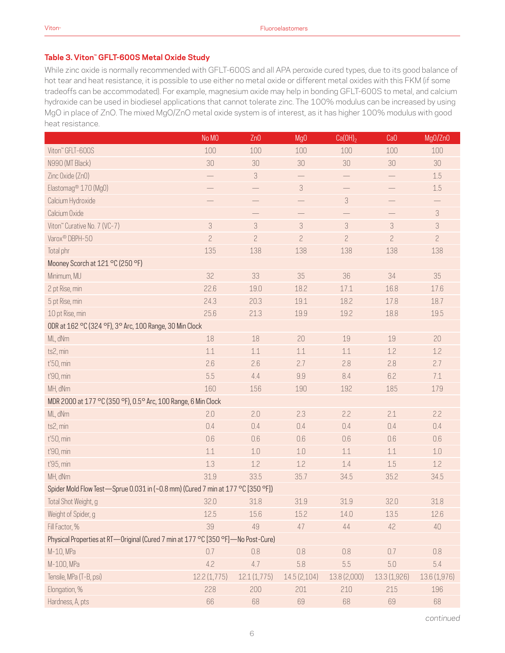### **Table 3. Viton™ GFLT-600S Metal Oxide Study**

While zinc oxide is normally recommended with GFLT-600S and all APA peroxide cured types, due to its good balance of hot tear and heat resistance, it is possible to use either no metal oxide or different metal oxides with this FKM (if some tradeoffs can be accommodated). For example, magnesium oxide may help in bonding GFLT-600S to metal, and calcium hydroxide can be used in biodiesel applications that cannot tolerate zinc. The 100% modulus can be increased by using MgO in place of ZnO. The mixed MgO/ZnO metal oxide system is of interest, as it has higher 100% modulus with good heat resistance.

|                                                                                  | No MO          | Zn0            | Mg <sub>0</sub>           | Ca(OH) <sub>2</sub>       | Ca <sub>0</sub> | Mg0/Zn0        |
|----------------------------------------------------------------------------------|----------------|----------------|---------------------------|---------------------------|-----------------|----------------|
| Viton" GFLT-600S                                                                 | 100            | 100            | 100                       | 100                       | 100             | 100            |
| N990 (MT Black)                                                                  | 30             | 30             | 30                        | 30                        | 30              | $30\,$         |
| Zinc Oxide (ZnO)                                                                 |                | $\sqrt{3}$     |                           |                           |                 | $1.5\,$        |
| Elastomag <sup>®</sup> 170 (Mg0)                                                 |                |                | $\ensuremath{\mathsf{3}}$ |                           |                 | $1.5\,$        |
| Calcium Hydroxide                                                                |                |                | $\overline{\phantom{0}}$  | $\ensuremath{\mathsf{3}}$ |                 |                |
| Calcium Oxide                                                                    |                |                |                           | $\overline{\phantom{0}}$  |                 | 3              |
| Viton" Curative No. 7 (VC-7)                                                     | $\sqrt{3}$     | 3              | $\ensuremath{\mathsf{3}}$ | $\sqrt{3}$                | $\sqrt{3}$      | 3              |
| Varox® DBPH-50                                                                   | $\overline{c}$ | $\overline{c}$ | $\mathbf{2}$              | $\overline{c}$            | $\overline{c}$  | $\overline{c}$ |
| Total phr                                                                        | 135            | 138            | 138                       | 138                       | 138             | 138            |
| Mooney Scorch at 121 °C (250 °F)                                                 |                |                |                           |                           |                 |                |
| Minimum, MU                                                                      | 32             | 33             | 35                        | 36                        | 34              | 35             |
| 2 pt Rise, min                                                                   | 22.6           | 19.0           | 18.2                      | 17.1                      | 16.8            | 17.6           |
| 5 pt Rise, min                                                                   | 24.3           | 20.3           | 19.1                      | 18.2                      | 17.8            | 18.7           |
| 10 pt Rise, min                                                                  | 25.6           | 21.3           | 19.9                      | 19.2                      | 18.8            | 19.5           |
| ODR at 162 °C (324 °F), 3° Arc, 100 Range, 30 Min Clock                          |                |                |                           |                           |                 |                |
| ML, dNm                                                                          | 18             | 18             | 20                        | 19                        | 19              | 20             |
| ts2, min                                                                         | 1.1            | $1.1\,$        | 1.1                       | 1.1                       | 1.2             | 1.2            |
| t'50, min                                                                        | 2.6            | 2.6            | 2.7                       | 2.8                       | 2.8             | 2.7            |
| t'90, min                                                                        | 5.5            | 4.4            | 9.9                       | 8.4                       | 6.2             | 7.1            |
| MH, dNm                                                                          | 160            | 156            | 190                       | 192                       | 185             | 179            |
| MDR 2000 at 177 °C (350 °F), 0.5° Arc, 100 Range, 6 Min Clock                    |                |                |                           |                           |                 |                |
| ML, dNm                                                                          | 2.0            | 2.0            | 2.3                       | 2.2                       | 2.1             | 2.2            |
| ts2, min                                                                         | 0.4            | 0.4            | 0.4                       | 0.4                       | 0.4             | 0.4            |
| t'50, min                                                                        | 0.6            | 0.6            | 0.6                       | 0.6                       | 0.6             | 0.6            |
| t'90, min                                                                        | 1.1            | 1.0            | 1.0                       | 1.1                       | $1.1\,$         | $1.0\,$        |
| t'95, min                                                                        | 1.3            | 1.2            | 1.2                       | 1.4                       | 1.5             | 1.2            |
| MH, dNm                                                                          | 31.9           | 33.5           | 35.7                      | 34.5                      | 35.2            | 34.5           |
| Spider Mold Flow Test-Sprue 0.031 in (~0.8 mm) (Cured 7 min at 177 °C [350 °F])  |                |                |                           |                           |                 |                |
| Total Shot Weight, g                                                             | 32.0           | 31.8           | 31.9                      | 31.9                      | 32.0            | 31.8           |
| Weight of Spider, g                                                              | 12.5           | 15.6           | 15.2                      | 14.0                      | 13.5            | 12.6           |
| Fill Factor, %                                                                   | 39             | 49             | 47                        | 44                        | 42              | $40\,$         |
| Physical Properties at RT-Original (Cured 7 min at 177 °C [350 °F]-No Post-Cure) |                |                |                           |                           |                 |                |
| M-10, MPa                                                                        | 0.7            | $0.8\,$        | 0.8                       | 0.8                       | 0.7             | 0.8            |
| M-100, MPa                                                                       | 4.2            | 4.7            | 5.8                       | 5.5                       | 5.0             | 5.4            |
| Tensile, MPa (T-B, psi)                                                          | 12.2(1,775)    | 12.1(1,775)    | 14.5(2,104)               | 13.8 (2,000)              | 13.3 (1,926)    | 13.6 (1,976)   |
| Elongation, %                                                                    | 228            | 200            | 201                       | 210                       | 215             | 196            |
| Hardness, A, pts                                                                 | 66             | 68             | 69                        | 68                        | 69              | 68             |

*continued*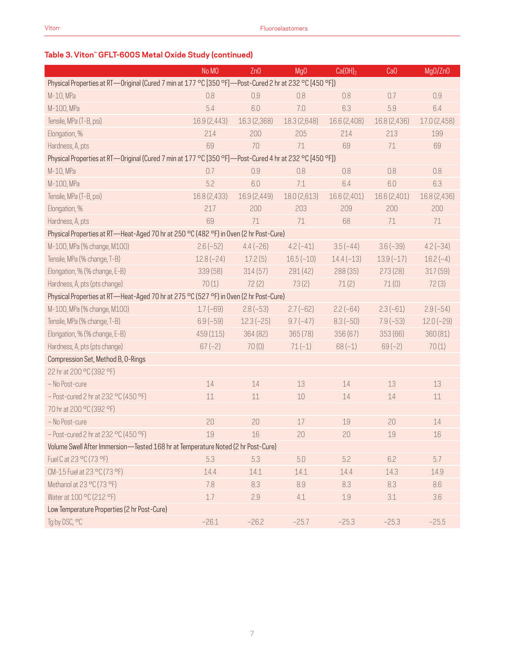# **Table 3. Viton™ GFLT-600S Metal Oxide Study (continued)**

|                                                                                                        | No MO        | Zn0          | Mg <sub>0</sub> | Ca(OH) <sub>2</sub> | CaO          | Mg0/Zn0      |
|--------------------------------------------------------------------------------------------------------|--------------|--------------|-----------------|---------------------|--------------|--------------|
| Physical Properties at RT-Original (Cured 7 min at 177 °C [350 °F]-Post-Cured 2 hr at 232 °C [450 °F]) |              |              |                 |                     |              |              |
| M-10, MPa                                                                                              | 0.8          | 0.9          | 0.8             | 0.8                 | 0.7          | 0.9          |
| M-100, MPa                                                                                             | 5.4          | 6.0          | 7.0             | 6.3                 | 5.9          | 6.4          |
| Tensile, MPa (T-B, psi)                                                                                | 16.9 (2,443) | 16.3 (2,368) | 18.3 (2,648)    | 16.6 (2,408)        | 16.8 (2,436) | 17.0 (2,458) |
| Elongation, %                                                                                          | 214          | 200          | 205             | 214                 | 213          | 199          |
| Hardness, A, pts                                                                                       | 69           | 70           | 71              | 69                  | 71           | 69           |
| Physical Properties at RT—Original (Cured 7 min at 177 °C [350 °F]—Post-Cured 4 hr at 232 °C [450 °F]) |              |              |                 |                     |              |              |
| M-10, MPa                                                                                              | 0.7          | 0.9          | 0.8             | 0.8                 | 0.8          | 0.8          |
| M-100, MPa                                                                                             | 5.2          | 6.0          | 7.1             | 6.4                 | 6.0          | 6.3          |
| Tensile, MPa (T-B, psi)                                                                                | 16.8 (2,433) | 16.9 (2,449) | 18.0 (2,613)    | 16.6 (2,401)        | 16.6 (2,401) | 16.8 (2,436) |
| Elongation, %                                                                                          | 217          | 200          | 203             | 209                 | 200          | 200          |
| Hardness, A, pts                                                                                       | 69           | 71           | 71              | 68                  | 71           | $71\,$       |
| Physical Properties at RT-Heat-Aged 70 hr at 250 °C (482 °F) in Oven (2 hr Post-Cure)                  |              |              |                 |                     |              |              |
| M-100, MPa (% change, M100)                                                                            | $2.6(-52)$   | $4.4(-26)$   | $4.2(-41)$      | $3.5(-44)$          | $3.6(-39)$   | $4.2(-34)$   |
| Tensile, MPa (% change, T-B)                                                                           | $12.8(-24)$  | 17.2(5)      | $16.5(-10)$     | $14.4(-13)$         | $13.9(-17)$  | $16.2(-4)$   |
| Elongation, % (% change, E-B)                                                                          | 339 (58)     | 314(57)      | 291 (42)        | 288 (35)            | 273(28)      | 317(59)      |
| Hardness, A, pts (pts change)                                                                          | 70(1)        | 72(2)        | 73(2)           | 71(2)               | 71(0)        | 72(3)        |
| Physical Properties at RT-Heat-Aged 70 hr at 275 °C (527 °F) in Oven (2 hr Post-Cure)                  |              |              |                 |                     |              |              |
| M-100, MPa (% change, M100)                                                                            | $1.7(-69)$   | $2.8(-53)$   | $2.7(-62)$      | $2.2(-64)$          | $2.3(-61)$   | $2.9(-54)$   |
| Tensile, MPa (% change, T-B)                                                                           | $6.9(-59)$   | $12.3(-25)$  | $9.7(-47)$      | $8.3(-50)$          | $7.9(-53)$   | $12.0(-29)$  |
| Elongation, % (% change, E-B)                                                                          | 459 (115)    | 364 (82)     | 365(78)         | 356(67)             | 353 (66)     | 360 (81)     |
| Hardness, A, pts (pts change)                                                                          | $67(-2)$     | 70(0)        | $71(-1)$        | $68(-1)$            | $69(-2)$     | 70(1)        |
| Compression Set, Method B, O-Rings                                                                     |              |              |                 |                     |              |              |
| 22 hr at 200 °C (392 °F)                                                                               |              |              |                 |                     |              |              |
| - No Post-cure                                                                                         | 14           | 14           | 13              | 14                  | 13           | 13           |
| $-$ Post-cured 2 hr at 232 °C (450 °F)                                                                 | 11           | 11           | 10              | 14                  | 14           | $11\,$       |
| 70 hr at 200 °C (392 °F)                                                                               |              |              |                 |                     |              |              |
| - No Post-cure                                                                                         | 20           | 20           | 17              | 19                  | 20           | 14           |
| $-$ Post-cured 2 hr at 232 °C (450 °F)                                                                 | 19           | 16           | 20              | 20                  | $19\,$       | 16           |
| Volume Swell After Immersion-Tested 168 hr at Temperature Noted (2 hr Post-Cure)                       |              |              |                 |                     |              |              |
| Fuel C at 23 °C (73 °F)                                                                                | 5.3          | 5.3          | 5.0             | 5.2                 | 6.2          | 5.7          |
| CM-15 Fuel at 23 °C (73 °F)                                                                            | 14.4         | 14.1         | 14.1            | 14.4                | 14.3         | 14.9         |
| Methanol at 23 °C (73 °F)                                                                              | 7.8          | 8.3          | 8.9             | 8.3                 | 8.3          | 8.6          |
| Water at 100 °C (212 °F)                                                                               | 1.7          | 2.9          | 4.1             | 1.9                 | 3.1          | 3.6          |
| Low Temperature Properties (2 hr Post-Cure)                                                            |              |              |                 |                     |              |              |
| Tg by DSC, °C                                                                                          | $-26.1$      | $-26.2$      | $-25.7$         | $-25.3$             | $-25.3$      | $-25.5$      |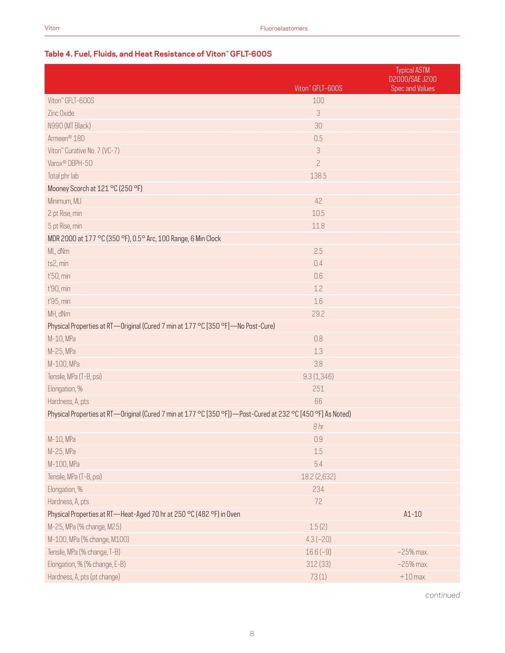# **Table 4. Fuel, Fluids, and Heat Resistance of Viton™ GFLT-600S**

|                                                                                                             | Viton" GFLT-600S          | <b>Typical ASTM</b><br><b>D2000/SAE J200</b><br><b>Spec and Values</b> |
|-------------------------------------------------------------------------------------------------------------|---------------------------|------------------------------------------------------------------------|
| Viton" GFLT-600S                                                                                            | 100                       |                                                                        |
| Zinc Oxide                                                                                                  | $\ensuremath{\mathsf{3}}$ |                                                                        |
| N990 (MT Black)                                                                                             | 30                        |                                                                        |
| Armeen <sup>®</sup> 18D                                                                                     | 0.5                       |                                                                        |
| Viton" Curative No. 7 (VC-7)                                                                                | 3                         |                                                                        |
| Varox <sup>®</sup> DBPH-50                                                                                  | $\overline{c}$            |                                                                        |
| Total phr lab                                                                                               | 138.5                     |                                                                        |
| Mooney Scorch at 121 °C (250 °F)                                                                            |                           |                                                                        |
| Minimum, MU                                                                                                 | 42                        |                                                                        |
| 2 pt Rise, min                                                                                              | 10.5                      |                                                                        |
| 5 pt Rise, min                                                                                              | 11.8                      |                                                                        |
| MDR 2000 at 177 °C (350 °F), 0.5° Arc, 100 Range, 6 Min Clock                                               |                           |                                                                        |
| ML, dNm                                                                                                     | 2.5                       |                                                                        |
| ts2, min                                                                                                    | 0.4                       |                                                                        |
| t'50, min                                                                                                   | 0.6                       |                                                                        |
| t'90, min                                                                                                   | 1.2                       |                                                                        |
| t'95, min                                                                                                   | 1.6                       |                                                                        |
| MH, dNm                                                                                                     | 29.2                      |                                                                        |
| Physical Properties at RT—Original (Cured 7 min at 177 °C [350 °F]—No Post-Cure)                            |                           |                                                                        |
| M-10, MPa                                                                                                   | 0.8                       |                                                                        |
| M-25, MPa                                                                                                   | 1.3                       |                                                                        |
| M-100, MPa                                                                                                  | 3.8                       |                                                                        |
| Tensile, MPa (T-B, psi)                                                                                     | 9.3(1,346)                |                                                                        |
| Elongation, %                                                                                               | 251                       |                                                                        |
| Hardness, A, pts                                                                                            | 66                        |                                                                        |
| Physical Properties at RT—Original (Cured 7 min at 177 °C [350 °F])—Post-Cured at 232 °C [450 °F] As Noted) |                           |                                                                        |
|                                                                                                             | 8hr                       |                                                                        |
| M-10, MPa                                                                                                   | 0.9                       |                                                                        |
| M-25, MPa                                                                                                   | 1.5                       |                                                                        |
| M-100, MPa                                                                                                  | 5.4                       |                                                                        |
| Tensile, MPa (T-B, psi)                                                                                     | 18.2 (2,632)              |                                                                        |
| Elongation, %                                                                                               | 234                       |                                                                        |
| Hardness, A, pts                                                                                            | 72                        |                                                                        |
| Physical Properties at RT-Heat-Aged 70 hr at 250 °C (482 °F) in Oven                                        |                           | $A1-10$                                                                |
| M-25, MPa (% change, M25)                                                                                   | 1.5(2)                    |                                                                        |
| M-100, MPa (% change, M100)                                                                                 | $4.3(-20)$                |                                                                        |
| Tensile, MPa (% change, T-B)                                                                                | $16.6(-9)$                | $-25%$ max.                                                            |
| Elongation, % (% change, E-B)                                                                               | 312(33)                   | $-25%$ max.                                                            |
| Hardness, A, pts (pt change)                                                                                | 73(1)                     | $+10$ max.                                                             |

*continued*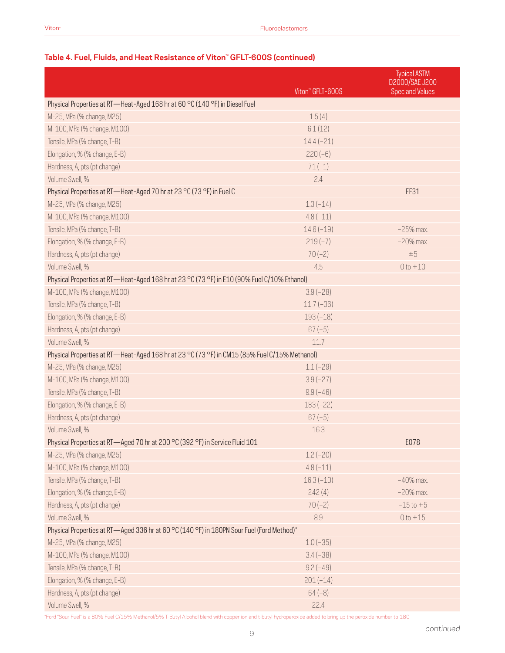|                                                                                               | Viton" GFLT-600S | <b>Typical ASTM</b><br>D2000/SAE J200<br><b>Spec and Values</b> |
|-----------------------------------------------------------------------------------------------|------------------|-----------------------------------------------------------------|
| Physical Properties at RT-Heat-Aged 168 hr at 60 °C (140 °F) in Diesel Fuel                   |                  |                                                                 |
| M-25, MPa (% change, M25)                                                                     | 1.5(4)           |                                                                 |
| M-100, MPa (% change, M100)                                                                   | 6.1(12)          |                                                                 |
| Tensile, MPa (% change, T-B)                                                                  | $14.4(-21)$      |                                                                 |
| Elongation, % (% change, E-B)                                                                 | $220(-6)$        |                                                                 |
| Hardness, A, pts (pt change)                                                                  | $71(-1)$         |                                                                 |
| Volume Swell, %                                                                               | 2.4              |                                                                 |
| Physical Properties at RT-Heat-Aged 70 hr at 23 °C (73 °F) in Fuel C                          |                  | EF31                                                            |
| M-25, MPa (% change, M25)                                                                     | $1.3(-14)$       |                                                                 |
| M-100, MPa (% change, M100)                                                                   | $4.8(-11)$       |                                                                 |
| Tensile, MPa (% change, T-B)                                                                  | $14.6(-19)$      | $-25%$ max.                                                     |
| Elongation, % (% change, E-B)                                                                 | $219(-7)$        | $-20%$ max.                                                     |
| Hardness, A, pts (pt change)                                                                  | $70(-2)$         | $\pm 5$                                                         |
| Volume Swell, %                                                                               | 4.5              | $0 to +10$                                                      |
| Physical Properties at RT-Heat-Aged 168 hr at 23 °C (73 °F) in E10 (90% Fuel C/10% Ethanol)   |                  |                                                                 |
| M-100, MPa (% change, M100)                                                                   | $3.9(-28)$       |                                                                 |
| Tensile, MPa (% change, T-B)                                                                  | $11.7(-36)$      |                                                                 |
| Elongation, % (% change, E-B)                                                                 | $193(-18)$       |                                                                 |
| Hardness, A, pts (pt change)                                                                  | $67(-5)$         |                                                                 |
| Volume Swell, %                                                                               | 11.7             |                                                                 |
| Physical Properties at RT-Heat-Aged 168 hr at 23 °C (73 °F) in CM15 (85% Fuel C/15% Methanol) |                  |                                                                 |
| M-25, MPa (% change, M25)                                                                     | $1.1(-29)$       |                                                                 |
| M-100, MPa (% change, M100)                                                                   | $3.9(-27)$       |                                                                 |
| Tensile, MPa (% change, T-B)                                                                  | $9.9(-46)$       |                                                                 |
| Elongation, % (% change, E-B)                                                                 | $183(-22)$       |                                                                 |
| Hardness, A, pts (pt change)                                                                  | $67(-5)$         |                                                                 |
| Volume Swell, %                                                                               | 16.3             |                                                                 |
| Physical Properties at RT-Aged 70 hr at 200 °C (392 °F) in Service Fluid 101                  |                  | E078                                                            |
| M-25, MPa (% change, M25)                                                                     | $1.2(-20)$       |                                                                 |
| M-100, MPa (% change, M100)                                                                   | $4.8(-11)$       |                                                                 |
| Tensile, MPa (% change, T-B)                                                                  | $16.3(-10)$      | $-40%$ max.                                                     |
| Elongation, % (% change, E-B)                                                                 | 242(4)           | $-20\%$ max.                                                    |
| Hardness, A, pts (pt change)                                                                  | $70(-2)$         | $-15$ to $+5$                                                   |
| Volume Swell, %                                                                               | 8.9              | $0 to +15$                                                      |
| Physical Properties at RT-Aged 336 hr at 60 °C (140 °F) in 180PN Sour Fuel (Ford Method)*     |                  |                                                                 |
| M-25, MPa (% change, M25)                                                                     | $1.0(-35)$       |                                                                 |
| M-100, MPa (% change, M100)                                                                   | $3.4(-38)$       |                                                                 |
| Tensile, MPa (% change, T-B)                                                                  | $9.2(-49)$       |                                                                 |
| Elongation, % (% change, E-B)                                                                 | $201(-14)$       |                                                                 |
| Hardness, A, pts (pt change)                                                                  | $64(-8)$         |                                                                 |
| Volume Swell, %                                                                               | 22.4             |                                                                 |

# **Table 4. Fuel, Fluids, and Heat Resistance of Viton™ GFLT-600S (continued)**

\*Ford "Sour Fuel" is a 80% Fuel C/15% Methanol/5% T-Butyl Alcohol blend with copper ion and t-butyl hydroperoxide added to bring up the peroxide number to 180